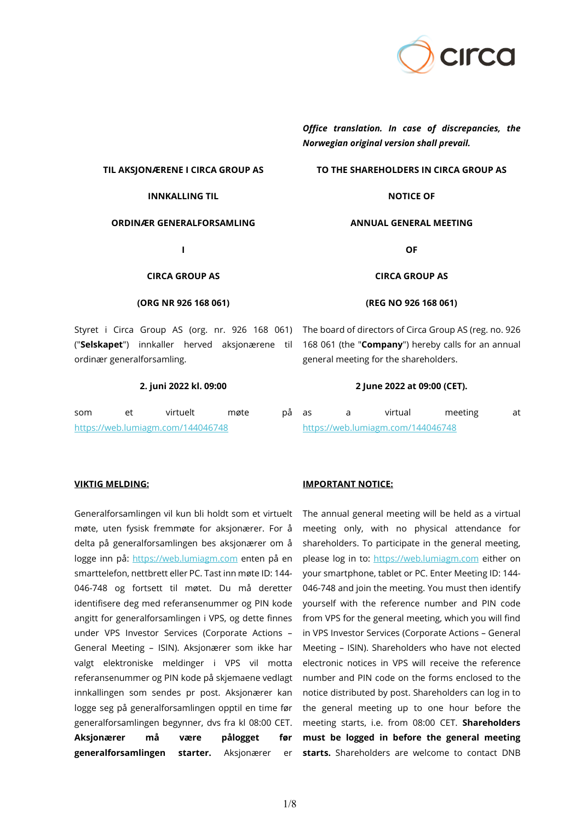

*Office translation. In case of discrepancies, the* 

|                                                |          |      |                                       | Norwegian original version shall prevail.                                                                                                                                                                                                           |   |                                              |         |    |
|------------------------------------------------|----------|------|---------------------------------------|-----------------------------------------------------------------------------------------------------------------------------------------------------------------------------------------------------------------------------------------------------|---|----------------------------------------------|---------|----|
| TIL AKSJONÆRENE I CIRCA GROUP AS               |          |      | TO THE SHAREHOLDERS IN CIRCA GROUP AS |                                                                                                                                                                                                                                                     |   |                                              |         |    |
| <b>INNKALLING TIL</b>                          |          |      |                                       | <b>NOTICE OF</b>                                                                                                                                                                                                                                    |   |                                              |         |    |
| ORDINÆR GENERALFORSAMLING                      |          |      |                                       | ANNUAL GENERAL MEETING                                                                                                                                                                                                                              |   |                                              |         |    |
|                                                |          |      |                                       | OF                                                                                                                                                                                                                                                  |   |                                              |         |    |
| <b>CIRCA GROUP AS</b>                          |          |      |                                       | <b>CIRCA GROUP AS</b>                                                                                                                                                                                                                               |   |                                              |         |    |
| (ORG NR 926 168 061)                           |          |      |                                       | (REG NO 926 168 061)                                                                                                                                                                                                                                |   |                                              |         |    |
| ordinær generalforsamling.                     |          |      |                                       | Styret i Circa Group AS (org. nr. 926 168 061) The board of directors of Circa Group AS (reg. no. 926<br>("Selskapet") innkaller herved aksjonærene til 168 061 (the "Company") hereby calls for an annual<br>general meeting for the shareholders. |   |                                              |         |    |
| 2. juni 2022 kl. 09:00                         |          |      |                                       | 2 June 2022 at 09:00 (CET).                                                                                                                                                                                                                         |   |                                              |         |    |
| et<br>som<br>https://web.lumiagm.com/144046748 | virtuelt | møte | рå                                    | as                                                                                                                                                                                                                                                  | a | virtual<br>https://web.lumiagm.com/144046748 | meeting | at |

# **VIKTIG MELDING:**

Generalforsamlingen vil kun bli holdt som et virtuelt møte, uten fysisk fremmøte for aksjonærer. For å delta på generalforsamlingen bes aksjonærer om å logge inn på: [https://web.lumiagm.com](https://web.lumiagm.com/) enten på en smarttelefon, nettbrett eller PC. Tast inn møte ID: 144- 046-748 og fortsett til møtet. Du må deretter identifisere deg med referansenummer og PIN kode angitt for generalforsamlingen i VPS, og dette finnes under VPS Investor Services (Corporate Actions – General Meeting – ISIN). Aksjonærer som ikke har valgt elektroniske meldinger i VPS vil motta referansenummer og PIN kode på skjemaene vedlagt innkallingen som sendes pr post. Aksjonærer kan logge seg på generalforsamlingen opptil en time før generalforsamlingen begynner, dvs fra kl 08:00 CET. **Aksjonærer må være pålogget før generalforsamlingen starter.** Aksjonærer er

### **IMPORTANT NOTICE:**

The annual general meeting will be held as a virtual meeting only, with no physical attendance for shareholders. To participate in the general meeting, please log in to: [https://web.lumiagm.com](https://web.lumiagm.com/) either on your smartphone, tablet or PC. Enter Meeting ID: 144- 046-748 and join the meeting. You must then identify yourself with the reference number and PIN code from VPS for the general meeting, which you will find in VPS Investor Services (Corporate Actions – General Meeting – ISIN). Shareholders who have not elected electronic notices in VPS will receive the reference number and PIN code on the forms enclosed to the notice distributed by post. Shareholders can log in to the general meeting up to one hour before the meeting starts, i.e. from 08:00 CET. **Shareholders must be logged in before the general meeting starts.** Shareholders are welcome to contact DNB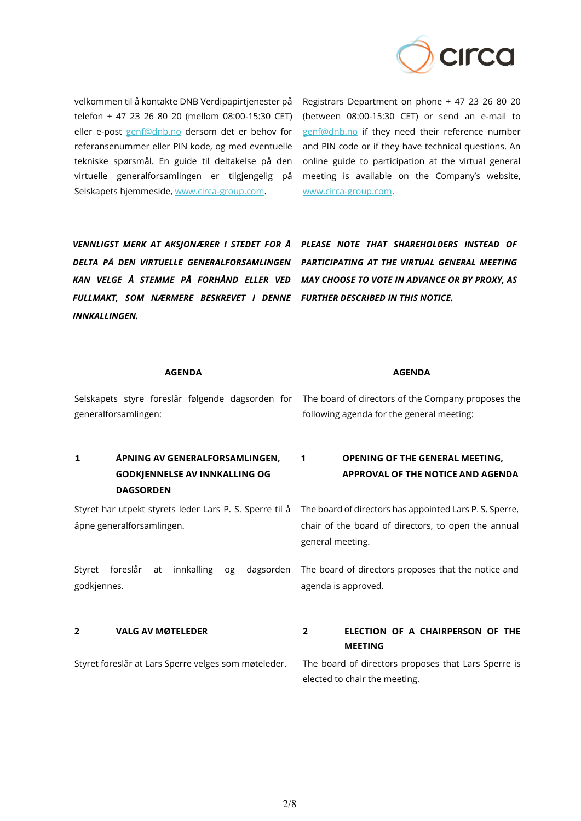

velkommen til å kontakte DNB Verdipapirtjenester på telefon + 47 23 26 80 20 (mellom 08:00-15:30 CET) eller e-post [genf@dnb.no](mailto:genf@dnb.no) dersom det er behov for referansenummer eller PIN kode, og med eventuelle tekniske spørsmål. En guide til deltakelse på den virtuelle generalforsa[mlingen er tilgjengeli](http://www.circa-group.com/)g på Selskapets hjemmeside, www.circa-group.com.

Registrars Department on phone + 47 23 26 80 20 [\(between 08:0](mailto:genf@dnb.no)0-15:30 CET) or send an e-mail to genf@dnb.no if they need their reference number and PIN code or if they have technical questions. An online guide to participation at the virtual general [meeting is available](http://www.circa-group.com/) on the Company's website, www.circa-group.com.

*VENNLIGST MERK AT AKSJONÆRER I STEDET FOR Å PLEASE NOTE THAT SHAREHOLDERS INSTEAD OF DELTA PÅ DEN VIRTUELLE GENERALFORSAMLINGEN PARTICIPATING AT THE VIRTUAL GENERAL MEETING KAN VELGE Å STEMME PÅ FORHÅND ELLER VED MAY CHOOSE TO VOTE IN ADVANCE OR BY PROXY, AS FULLMAKT, SOM NÆRMERE BESKREVET I DENNE FURTHER DESCRIBED IN THIS NOTICE. INNKALLINGEN.*

### **AGENDA AGENDA**

generalforsamlingen:

Selskapets styre foreslår følgende dagsorden for The board of directors of the Company proposes the following agenda for the general meeting:

### **1 ÅPNING AV GENERALFORSAMLINGEN, GODKJENNELSE AV INNKALLING OG DAGSORDEN 1 OPENING OF THE GENERAL MEETING, APPROVAL OF THE NOTICE AND AGENDA**

Styret har utpekt styrets leder Lars P. S. Sperre til å åpne generalforsamlingen.

Styret foreslår at innkalling og dagsorden godkjennes.

The board of directors has appointed Lars P. S. Sperre, chair of the board of directors, to open the annual general meeting.

The board of directors proposes that the notice and agenda is approved.

### **2 VALG AV MØTELEDER 2 ELECTION OF A CHAIRPERSON OF THE MEETING**

Styret foreslår at Lars Sperre velges som møteleder. The board of directors proposes that Lars Sperre is elected to chair the meeting.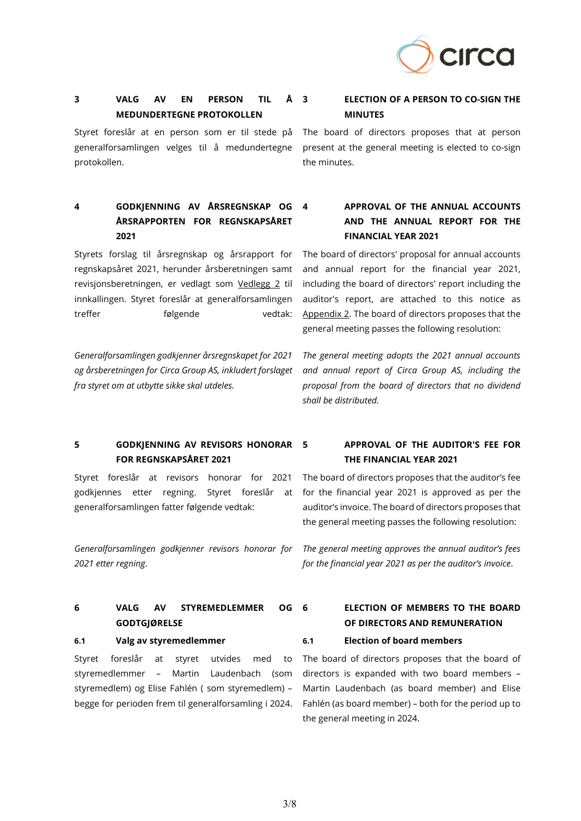

### **3 VALG AV EN PERSON TIL Å MEDUNDERTEGNE PROTOKOLLEN**

Styret foreslår at en person som er til stede på generalforsamlingen velges til å medundertegne protokollen.

# **4 GODKJENNING AV ÅRSREGNSKAP OG ÅRSRAPPORTEN FOR REGNSKAPSÅRET 2021**

Styrets forslag til årsregnskap og årsrapport for regnskapsåret 2021, herunder årsberetningen samt revisjonsberetningen, er vedlagt som Vedlegg [2](#page-7-0) til innkallingen. Styret foreslår at generalforsamlingen treffer følgende vedtak:

*Generalforsamlingen godkjenner årsregnskapet for 2021 og årsberetningen for Circa Group AS, inkludert forslaget fra styret om at utbytte sikke skal utdeles.* 

# **3 ELECTION OF A PERSON TO CO-SIGN THE MINUTES**

The board of directors proposes that at person present at the general meeting is elected to co-sign the minutes.

# **4 APPROVAL OF THE ANNUAL ACCOUNTS AND THE ANNUAL REPORT FOR THE FINANCIAL YEAR 2021**

The board of directors' proposal for annual accounts and annual report for the financial year 2021, including the board of directors' report including the auditor's report, are attached to this notice as Appendi[x 2.](#page-7-0) The board of directors proposes that the general meeting passes the following resolution:

*The general meeting adopts the 2021 annual accounts and annual report of Circa Group AS, including the proposal from the board of directors that no dividend shall be distributed.* 

### **5 GODKJENNING AV REVISORS HONORAR FOR REGNSKAPSÅRET 2021**

Styret foreslår at revisors honorar for 2021 godkjennes etter regning. Styret foreslår at generalforsamlingen fatter følgende vedtak:

*Generalforsamlingen godkjenner revisors honorar for 2021 etter regning*.

## **6 VALG AV STYREMEDLEMMER OG GODTGJØRELSE**

### **6.1 Valg av styremedlemmer 6.1 Election of board members**

Styret foreslår at styret utvides med to styremedlemmer – Martin Laudenbach (som styremedlem) og Elise Fahlén ( som styremedlem) – begge for perioden frem til generalforsamling i 2024.

## **5 APPROVAL OF THE AUDITOR'S FEE FOR THE FINANCIAL YEAR 2021**

The board of directors proposes that the auditor's fee for the financial year 2021 is approved as per the auditor's invoice. The board of directors proposes that the general meeting passes the following resolution:

*The general meeting approves the annual auditor's fees for the financial year 2021 as per the auditor's invoice*.

### **6 ELECTION OF MEMBERS TO THE BOARD OF DIRECTORS AND REMUNERATION**

The board of directors proposes that the board of directors is expanded with two board members – Martin Laudenbach (as board member) and Elise Fahlén (as board member) – both for the period up to the general meeting in 2024.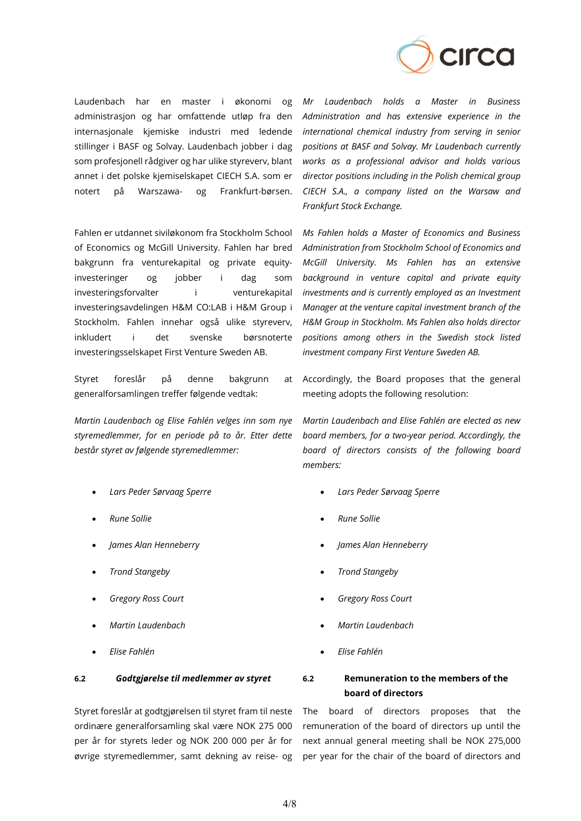

Laudenbach har en master i økonomi og administrasjon og har omfattende utløp fra den internasjonale kjemiske industri med ledende stillinger i BASF og Solvay. Laudenbach jobber i dag som profesjonell rådgiver og har ulike styreverv, blant annet i det polske kjemiselskapet CIECH S.A. som er notert på Warszawa- og Frankfurt-børsen.

Fahlen er utdannet siviløkonom fra Stockholm School of Economics og McGill University. Fahlen har bred bakgrunn fra venturekapital og private equityinvesteringer og jobber i dag som investeringsforvalter i venturekapital investeringsavdelingen H&M CO:LAB i H&M Group i Stockholm. Fahlen innehar også ulike styreverv, inkludert i det svenske børsnoterte investeringsselskapet First Venture Sweden AB.

Styret foreslår på denne bakgrunn at generalforsamlingen treffer følgende vedtak:

*Martin Laudenbach og Elise Fahlén velges inn som nye styremedlemmer, for en periode på to år. Etter dette består styret av følgende styremedlemmer:*

- 
- 
- 
- 
- 
- 
- 

Styret foreslår at godtgjørelsen til styret fram til neste ordinære generalforsamling skal være NOK 275 000 per år for styrets leder og NOK 200 000 per år for øvrige styremedlemmer, samt dekning av reise- og *Mr Laudenbach holds a Master in Business Administration and has extensive experience in the international chemical industry from serving in senior positions at BASF and Solvay. Mr Laudenbach currently works as a professional advisor and holds various director positions including in the Polish chemical group CIECH S.A., a company listed on the Warsaw and Frankfurt Stock Exchange.*

*Ms Fahlen holds a Master of Economics and Business Administration from Stockholm School of Economics and McGill University. Ms Fahlen has an extensive background in venture capital and private equity investments and is currently employed as an Investment Manager at the venture capital investment branch of the H&M Group in Stockholm. Ms Fahlen also holds director positions among others in the Swedish stock listed investment company First Venture Sweden AB.*

Accordingly, the Board proposes that the general meeting adopts the following resolution:

*Martin Laudenbach and Elise Fahlén are elected as new board members, for a two-year period. Accordingly, the board of directors consists of the following board members:*

- *Lars Peder Sørvaag Sperre Lars Peder Sørvaag Sperre*
- *Rune Sollie Rune Sollie*
- *James Alan Henneberry James Alan Henneberry*
- *Trond Stangeby Trond Stangeby*
- *Gregory Ross Court Gregory Ross Court*
- *Martin Laudenbach Martin Laudenbach*
- *Elise Fahlén Elise Fahlén*

# **6.2** *Godtgjørelse til medlemmer av styret* **6.2 Remuneration to the members of the board of directors**

The board of directors proposes that the remuneration of the board of directors up until the next annual general meeting shall be NOK 275,000 per year for the chair of the board of directors and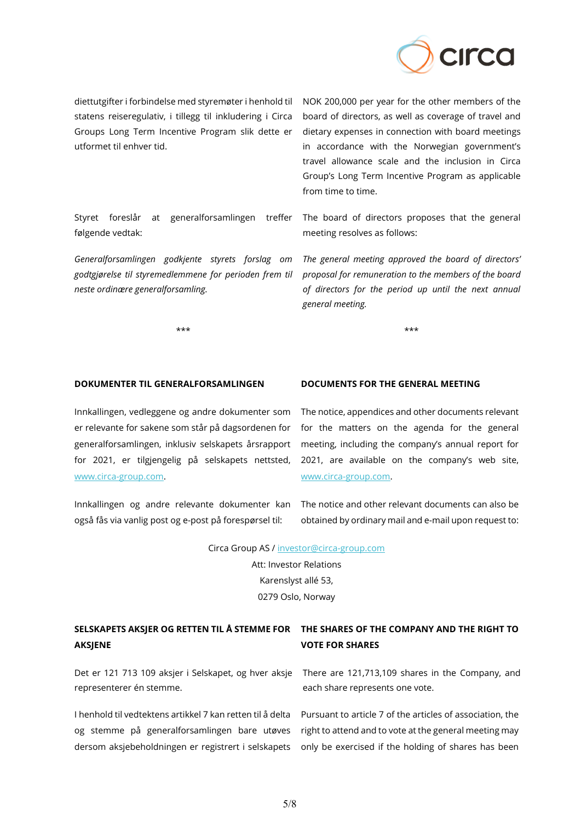

diettutgifter i forbindelse med styremøter i henhold til statens reiseregulativ, i tillegg til inkludering i Circa Groups Long Term Incentive Program slik dette er utformet til enhver tid.

NOK 200,000 per year for the other members of the board of directors, as well as coverage of travel and dietary expenses in connection with board meetings in accordance with the Norwegian government's travel allowance scale and the inclusion in Circa Group's Long Term Incentive Program as applicable from time to time.

The board of directors proposes that the general

*The general meeting approved the board of directors' proposal for remuneration to the members of the board of directors for the period up until the next annual* 

meeting resolves as follows:

*general meeting.*

Styret foreslår at generalforsamlingen treffer følgende vedtak:

*Generalforsamlingen godkjente styrets forslag om godtgjørelse til styremedlemmene for perioden frem til neste ordinære generalforsamling.*

\*\*\* \*\*\*

### **DOKUMENTER TIL GENERALFORSAMLINGEN DOCUMENTS FOR THE GENERAL MEETING**

Innkallingen, vedleggene og andre dokumenter som er relevante for sakene som står på dagsordenen for generalforsamlingen, inklusiv selskapets årsrapport for 2021, er tilgjengelig på selskapets nettsted, [www.circa-group.com.](http://www.circa-group.com/)

Innkallingen og andre relevante dokumenter kan også fås via vanlig post og e-post på forespørsel til:

The notice, appendices and other documents relevant for the matters on the agenda for the general meeting, including the company's annual report for 2021, [are available o](http://www.circa-group.com/)n the company's web site, www.circa-group.com.

The notice and other relevant documents can also be [obtained by ordinary](mailto:investor@circa-group.com) mail and e-mail upon request to:

Circa Group AS / investor@circa-group.com Att: Investor Relations Karenslyst allé 53, 0279 Oslo, Norway

### **SELSKAPETS AKSJER OG RETTEN TIL Å STEMME FOR THE SHARES OF THE COMPANY AND THE RIGHT TO AKSJENE VOTE FOR SHARES**

Det er 121 713 109 aksjer i Selskapet, og hver aksje There are 121,713,109 shares in the Company, and representerer én stemme.

I henhold til vedtektens artikkel 7 kan retten til å delta og stemme på generalforsamlingen bare utøves dersom aksjebeholdningen er registrert i selskapets

each share represents one vote.

Pursuant to article 7 of the articles of association, the right to attend and to vote at the general meeting may only be exercised if the holding of shares has been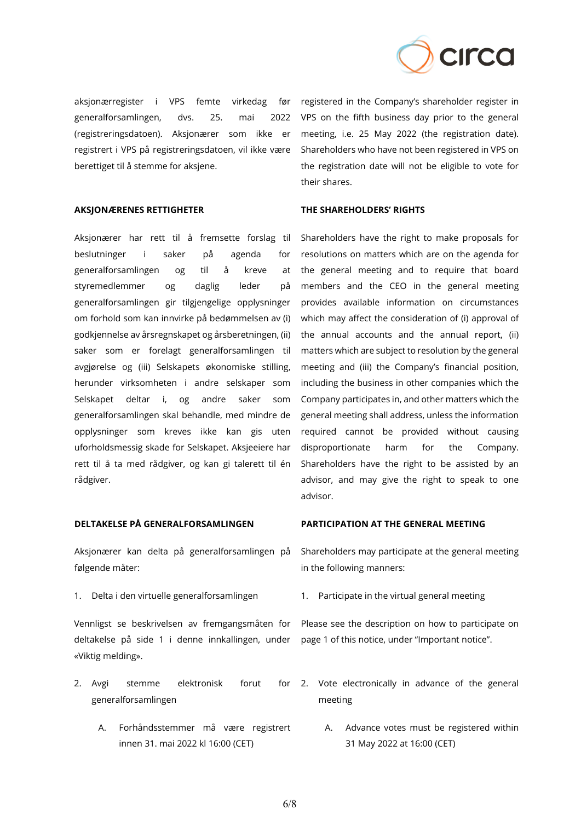

aksjonærregister i VPS femte virkedag før generalforsamlingen, dvs. 25. mai 2022 (registreringsdatoen). Aksjonærer som ikke er registrert i VPS på registreringsdatoen, vil ikke være berettiget til å stemme for aksjene.

### **AKSJONÆRENES RETTIGHETER THE SHAREHOLDERS' RIGHTS**

Aksjonærer har rett til å fremsette forslag til beslutninger i saker på agenda for generalforsamlingen og til å kreve at styremedlemmer og daglig leder på generalforsamlingen gir tilgjengelige opplysninger om forhold som kan innvirke på bedømmelsen av (i) godkjennelse av årsregnskapet og årsberetningen, (ii) saker som er forelagt generalforsamlingen til avgjørelse og (iii) Selskapets økonomiske stilling, herunder virksomheten i andre selskaper som Selskapet deltar i, og andre saker som generalforsamlingen skal behandle, med mindre de opplysninger som kreves ikke kan gis uten uforholdsmessig skade for Selskapet. Aksjeeiere har rett til å ta med rådgiver, og kan gi talerett til én rådgiver.

Aksjonærer kan delta på generalforsamlingen på følgende måter:

1. Delta i den virtuelle generalforsamlingen

Vennligst se beskrivelsen av fremgangsmåten for deltakelse på side 1 i denne innkallingen, under «Viktig melding».

- 2. Avgi stemme elektronisk forut for generalforsamlingen
	- A. Forhåndsstemmer må være registrert innen 31. mai 2022 kl 16:00 (CET)

registered in the Company's shareholder register in VPS on the fifth business day prior to the general meeting, i.e. 25 May 2022 (the registration date). Shareholders who have not been registered in VPS on the registration date will not be eligible to vote for their shares.

Shareholders have the right to make proposals for resolutions on matters which are on the agenda for the general meeting and to require that board members and the CEO in the general meeting provides available information on circumstances which may affect the consideration of (i) approval of the annual accounts and the annual report, (ii) matters which are subject to resolution by the general meeting and (iii) the Company's financial position, including the business in other companies which the Company participates in, and other matters which the general meeting shall address, unless the information required cannot be provided without causing disproportionate harm for the Company. Shareholders have the right to be assisted by an advisor, and may give the right to speak to one advisor.

### **DELTAKELSE PÅ GENERALFORSAMLINGEN PARTICIPATION AT THE GENERAL MEETING**

Shareholders may participate at the general meeting in the following manners:

1. Participate in the virtual general meeting

Please see the description on how to participate on page 1 of this notice, under "Important notice".

- 2. Vote electronically in advance of the general meeting
	- A. Advance votes must be registered within 31 May 2022 at 16:00 (CET)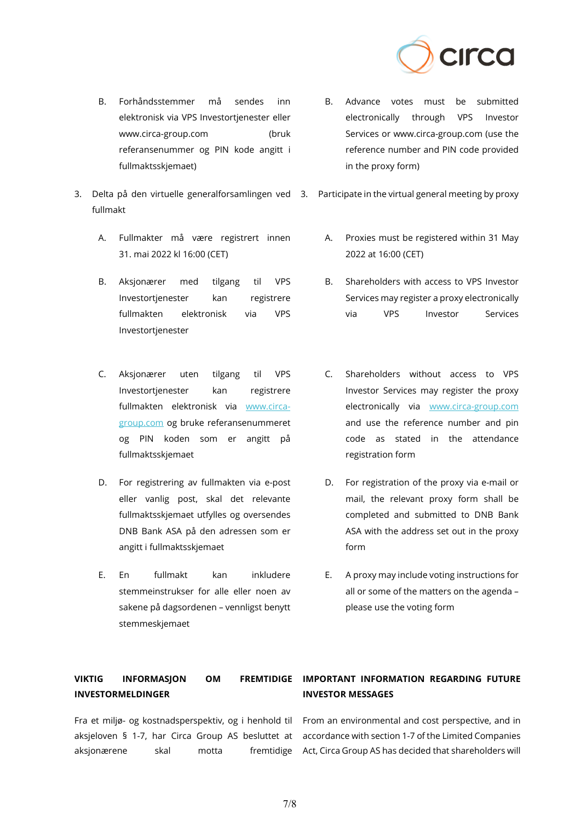

- B. Forhåndsstemmer må sendes inn elektronisk via VPS Investortjenester eller www.circa-group.com (bruk referansenummer og PIN kode angitt i fullmaktsskjemaet)
- 3. Delta på den virtuelle generalforsamlingen ved fullmakt
	- A. Fullmakter må være registrert innen 31. mai 2022 kl 16:00 (CET)
	- B. Aksjonærer med tilgang til VPS Investortjenester kan registrere fullmakten elektronisk via VPS Investortjenester
	- C. Aksjonærer uten tilgang til VPS Investortjenester kan [registrere](http://www.circa-group.com/) [fullmakten](http://www.circa-group.com/) elektronisk via www.circagroup.com og bruke referansenummeret og PIN koden som er angitt på fullmaktsskjemaet
	- D. For registrering av fullmakten via e-post eller vanlig post, skal det relevante fullmaktsskjemaet utfylles og oversendes DNB Bank ASA på den adressen som er angitt i fullmaktsskjemaet
	- E. En fullmakt kan inkludere stemmeinstrukser for alle eller noen av sakene på dagsordenen – vennligst benytt stemmeskjemaet
- B. Advance votes must be submitted electronically through VPS Investor Services or www.circa-group.com (use the reference number and PIN code provided in the proxy form)
- Participate in the virtual general meeting by proxy
	- A. Proxies must be registered within 31 May 2022 at 16:00 (CET)
	- B. Shareholders with access to VPS Investor Services may register a proxy electronically via VPS Investor Services
	- C. Shareholders without access to VPS Investor Services [may register the proxy](http://www.circa-group.com/) electronically via www.circa-group.com and use the reference number and pin code as stated in the attendance registration form
	- D. For registration of the proxy via e-mail or mail, the relevant proxy form shall be completed and submitted to DNB Bank ASA with the address set out in the proxy form
	- E. A proxy may include voting instructions for all or some of the matters on the agenda – please use the voting form

### **VIKTIG INFORMASION OM INVESTORMELDINGER FREMTIDIGE IMPORTANT INFORMATION REGARDING FUTURE INVESTOR MESSAGES**

aksjeloven § 1-7, har Circa Group AS besluttet at aksjonærene skal motta fremtidige

Fra et miljø- og kostnadsperspektiv, og i henhold til From an environmental and cost perspective, and in accordance with section 1-7 of the Limited Companies Act, Circa Group AS has decided that shareholders will